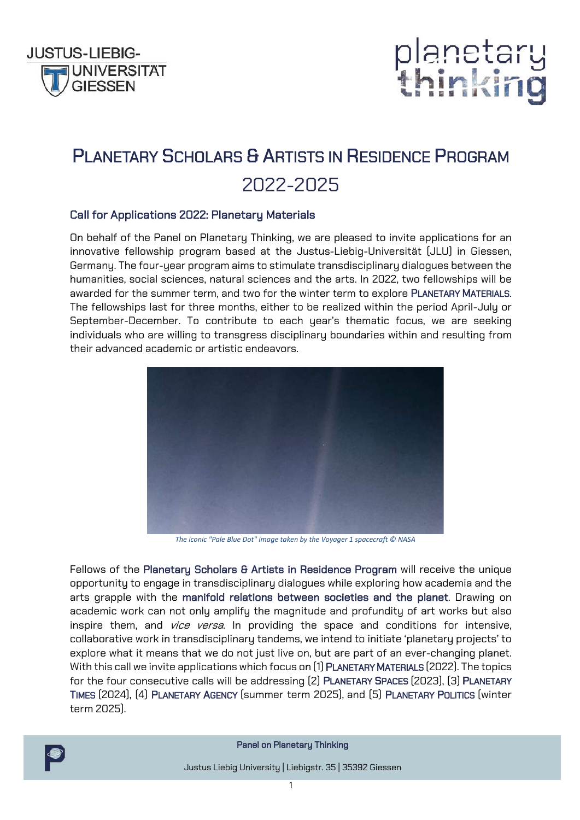



## PLANETARY SCHOLARS & ARTISTS IN RESIDENCE PROGRAM 2022-2025

### Call for Applications 2022: Planetary Materials

On behalf of the Panel on Planetary Thinking, we are pleased to invite applications for an innovative fellowship program based at the Justus-Liebig-Universität (JLU) in Giessen, Germany. The four-year program aims to stimulate transdisciplinary dialogues between the humanities, social sciences, natural sciences and the arts. In 2022, two fellowships will be awarded for the summer term, and two for the winter term to explore PLANETARY MATERIALS. The fellowships last for three months, either to be realized within the period April-July or September-December. To contribute to each year's thematic focus, we are seeking individuals who are willing to transgress disciplinary boundaries within and resulting from their advanced academic or artistic endeavors.



*The iconic "Pale Blue Dot" image taken by the Voyager 1 spacecraft © NASA*

Fellows of the Planetary Scholars & Artists in Residence Program will receive the unique opportunity to engage in transdisciplinary dialogues while exploring how academia and the arts grapple with the manifold relations between societies and the planet. Drawing on academic work can not only amplify the magnitude and profundity of art works but also inspire them, and *vice versa*. In providing the space and conditions for intensive, collaborative work in transdisciplinary tandems, we intend to initiate 'planetary projects' to explore what it means that we do not just live on, but are part of an ever-changing planet. With this call we invite applications which focus on (1) PLANETARY MATERIALS (2022). The topics for the four consecutive calls will be addressing (2) PLANETARY SPACES (2023), (3) PLANETARY TIMES (2024), (4) PLANETARY AGENCY (summer term 2025), and (5) PLANETARY POLITICS (winter term 2025).



Panel on Planetary Thinking

Justus Liebig University | Liebigstr. 35 | 35392 Giessen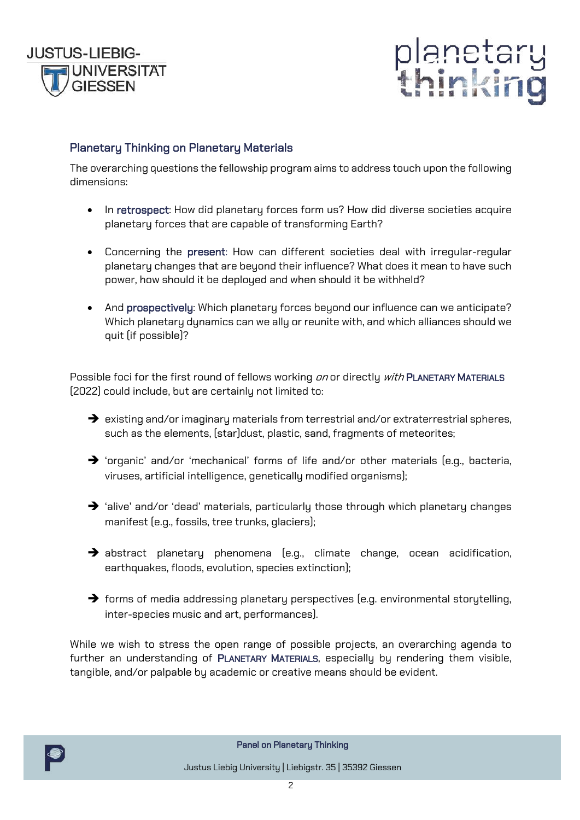



## Planetary Thinking on Planetary Materials

The overarching questions the fellowship program aims to address touch upon the following dimensions:

- In retrospect: How did planetary forces form us? How did diverse societies acquire planetary forces that are capable of transforming Earth?
- Concerning the present: How can different societies deal with irregular-regular planetary changes that are beyond their influence? What does it mean to have such power, how should it be deployed and when should it be withheld?
- And prospectively: Which planetary forces beyond our influence can we anticipate? Which planetary dynamics can we ally or reunite with, and which alliances should we quit (if possible)?

Possible foci for the first round of fellows working on or directly with PLANETARY MATERIALS (2022) could include, but are certainly not limited to:

- $\rightarrow$  existing and/or imaginary materials from terrestrial and/or extraterrestrial spheres, such as the elements, (star)dust, plastic, sand, fragments of meteorites;
- $\rightarrow$  'organic' and/or 'mechanical' forms of life and/or other materials (e.g., bacteria, viruses, artificial intelligence, genetically modified organisms);
- $\rightarrow$  'alive' and/or 'dead' materials, particularly those through which planetary changes manifest (e.g., fossils, tree trunks, glaciers);
- $\rightarrow$  abstract planetary phenomena (e.g., climate change, ocean acidification, earthquakes, floods, evolution, species extinction);
- $\rightarrow$  forms of media addressing planetary perspectives (e.g. environmental storytelling, inter-species music and art, performances).

While we wish to stress the open range of possible projects, an overarching agenda to further an understanding of PLANETARY MATERIALS, especially by rendering them visible, tangible, and/or palpable by academic or creative means should be evident.



Panel on Planetary Thinking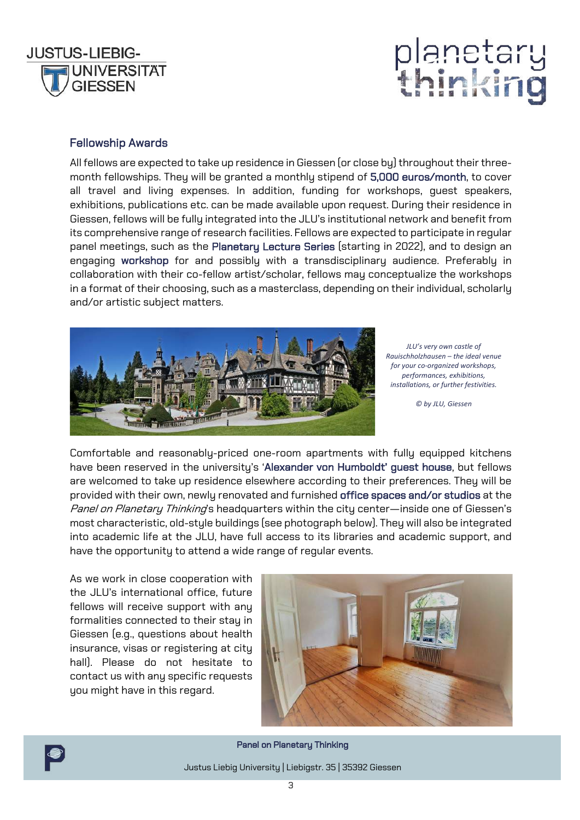

## anetar inkir

### Fellowship Awards

All fellows are expected to take up residence in Giessen (or close by) throughout their threemonth fellowships. They will be granted a monthly stipend of 5,000 euros/month, to cover all travel and living expenses. In addition, funding for workshops, guest speakers, exhibitions, publications etc. can be made available upon request. During their residence in Giessen, fellows will be fully integrated into the JLU's institutional network and benefit from its comprehensive range of research facilities. Fellows are expected to participate in regular panel meetings, such as the Planetary Lecture Series (starting in 2022), and to design an engaging workshop for and possibly with a transdisciplinary audience. Preferably in collaboration with their co-fellow artist/scholar, fellows may conceptualize the workshops in a format of their choosing, such as a masterclass, depending on their individual, scholarly and/or artistic subject matters.



*JLU's very own castle of Rauischholzhausen – the ideal venue for your co-organized workshops, performances, exhibitions, installations, or further festivities.* 

*© by JLU, Giessen*

Comfortable and reasonably-priced one-room apartments with fully equipped kitchens have been reserved in the university's 'Alexander von Humboldt' guest house, but fellows are welcomed to take up residence elsewhere according to their preferences. They will be provided with their own, newly renovated and furnished office spaces and/or studios at the Panel on Planetary Thinking's headquarters within the city center—inside one of Giessen's most characteristic, old-style buildings (see photograph below). They will also be integrated into academic life at the JLU, have full access to its libraries and academic support, and have the opportunity to attend a wide range of regular events.

As we work in close cooperation with the JLU's international office, future fellows will receive support with any formalities connected to their stay in Giessen (e.g., questions about health insurance, visas or registering at city hall). Please do not hesitate to contact us with any specific requests you might have in this regard.





Panel on Planetary Thinking

Justus Liebig University | Liebigstr. 35 | 35392 Giessen